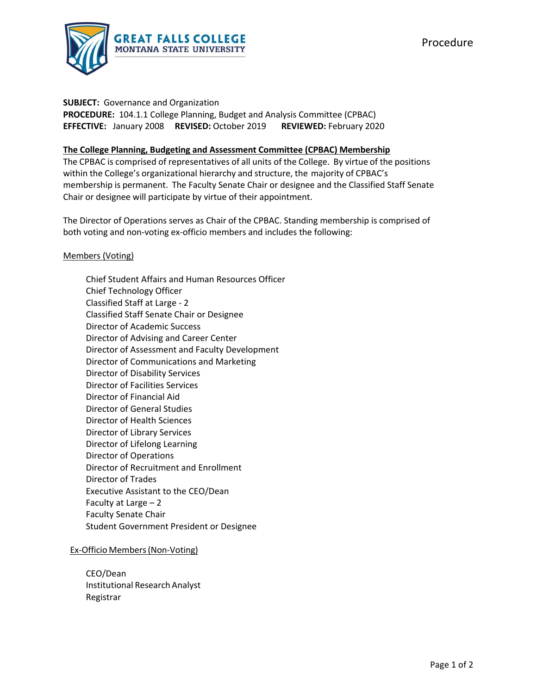

#### **SUBJECT:** Governance and Organization

PROCEDURE: 104.1.1 College Planning, Budget and Analysis Committee (CPBAC) **EFFECTIVE:** January 2008  **REVISED:** October 2019  **REVIEWED:** February 2020

# **The College Planning, Budgeting and Assessment Committee (CPBAC) Membership**

The CPBAC is comprised of representatives of all units of the College. By virtue of the positions within the College's organizational hierarchy and structure, the majority of CPBAC's membership is permanent. The Faculty Senate Chair or designee and the Classified Staff Senate Chair or designee will participate by virtue of their appointment.

The Director of Operations serves as Chair of the CPBAC. Standing membership is comprised of both voting and non‐voting ex‐officio members and includes the following:

## Members (Voting)

Chief Student Affairs and Human Resources Officer Chief Technology Officer Classified Staff at Large ‐ 2 Classified Staff Senate Chair or Designee Director of Academic Success Director of Advising and Career Center Director of Assessment and Faculty Development Director of Communications and Marketing Director of Disability Services Director of Facilities Services Director of Financial Aid Director of General Studies Director of Health Sciences Director of Library Services Director of Lifelong Learning Director of Operations Director of Recruitment and Enrollment Director of Trades Executive Assistant to the CEO/Dean Faculty at Large – 2 Faculty Senate Chair Student Government President or Designee

## Ex‐Officio Members(Non‐Voting)

CEO/Dean Institutional Research Analyst Registrar